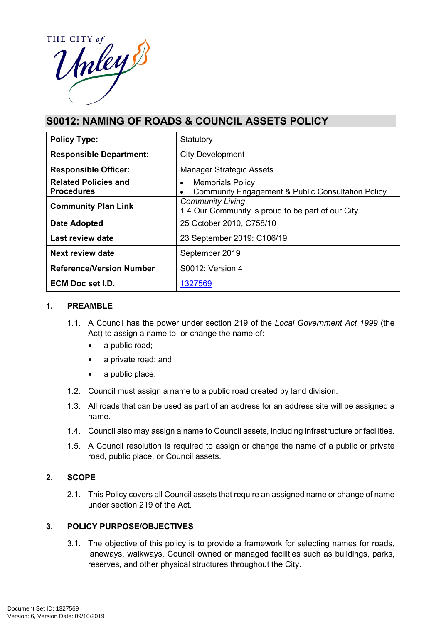

# **S0012: NAMING OF ROADS & COUNCIL ASSETS POLICY**

| <b>Policy Type:</b>                              | Statutory                                                                                 |  |
|--------------------------------------------------|-------------------------------------------------------------------------------------------|--|
| <b>Responsible Department:</b>                   | <b>City Development</b>                                                                   |  |
| <b>Responsible Officer:</b>                      | <b>Manager Strategic Assets</b>                                                           |  |
| <b>Related Policies and</b><br><b>Procedures</b> | <b>Memorials Policy</b><br>$\bullet$<br>Community Engagement & Public Consultation Policy |  |
| <b>Community Plan Link</b>                       | <b>Community Living:</b><br>1.4 Our Community is proud to be part of our City             |  |
| Date Adopted                                     | 25 October 2010, C758/10                                                                  |  |
| Last review date                                 | 23 September 2019: C106/19                                                                |  |
| Next review date                                 | September 2019                                                                            |  |
| <b>Reference/Version Number</b>                  | S0012: Version 4                                                                          |  |
| <b>ECM Doc set I.D.</b>                          | 1327569                                                                                   |  |

## **1. PREAMBLE**

- 1.1. A Council has the power under section 219 of the *Local Government Act 1999* (the Act) to assign a name to, or change the name of:
	- a public road;
	- a private road; and
	- a public place.
- 1.2. Council must assign a name to a public road created by land division.
- 1.3. All roads that can be used as part of an address for an address site will be assigned a name.
- 1.4. Council also may assign a name to Council assets, including infrastructure or facilities.
- 1.5. A Council resolution is required to assign or change the name of a public or private road, public place, or Council assets.

### **2. SCOPE**

2.1. This Policy covers all Council assets that require an assigned name or change of name under section 219 of the Act.

# **3. POLICY PURPOSE/OBJECTIVES**

3.1. The objective of this policy is to provide a framework for selecting names for roads, laneways, walkways, Council owned or managed facilities such as buildings, parks, reserves, and other physical structures throughout the City.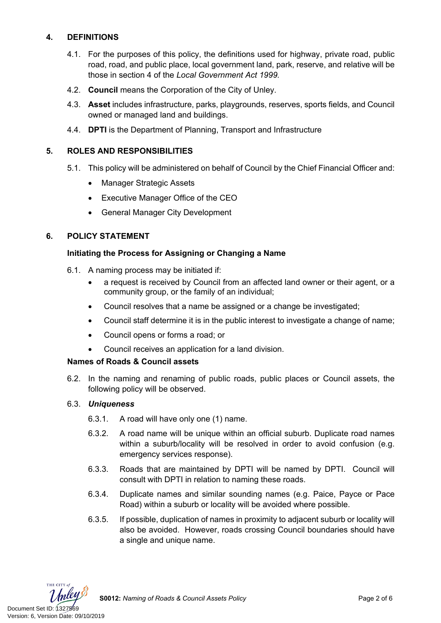# **4. DEFINITIONS**

- 4.1. For the purposes of this policy, the definitions used for highway, private road, public road, road, and public place, local government land, park, reserve, and relative will be those in section 4 of the *Local Government Act 1999.*
- 4.2. **Council** means the Corporation of the City of Unley.
- 4.3. **Asset** includes infrastructure, parks, playgrounds, reserves, sports fields, and Council owned or managed land and buildings.
- 4.4. **DPTI** is the Department of Planning, Transport and Infrastructure

## **5. ROLES AND RESPONSIBILITIES**

- 5.1. This policy will be administered on behalf of Council by the Chief Financial Officer and:
	- Manager Strategic Assets
	- Executive Manager Office of the CEO
	- General Manager City Development

## **6. POLICY STATEMENT**

### **Initiating the Process for Assigning or Changing a Name**

- 6.1. A naming process may be initiated if:
	- a request is received by Council from an affected land owner or their agent, or a community group, or the family of an individual;
	- Council resolves that a name be assigned or a change be investigated;
	- Council staff determine it is in the public interest to investigate a change of name;
	- Council opens or forms a road; or
	- Council receives an application for a land division.

### **Names of Roads & Council assets**

6.2. In the naming and renaming of public roads, public places or Council assets, the following policy will be observed.

### 6.3. *Uniqueness*

- 6.3.1. A road will have only one (1) name.
- 6.3.2. A road name will be unique within an official suburb. Duplicate road names within a suburb/locality will be resolved in order to avoid confusion (e.g. emergency services response).
- 6.3.3. Roads that are maintained by DPTI will be named by DPTI. Council will consult with DPTI in relation to naming these roads.
- 6.3.4. Duplicate names and similar sounding names (e.g. Paice, Payce or Pace Road) within a suburb or locality will be avoided where possible.
- 6.3.5. If possible, duplication of names in proximity to adjacent suburb or locality will also be avoided. However, roads crossing Council boundaries should have a single and unique name.

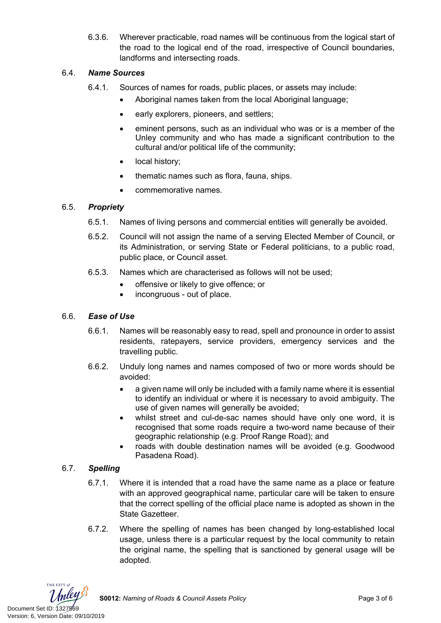6.3.6. Wherever practicable, road names will be continuous from the logical start of the road to the logical end of the road, irrespective of Council boundaries, landforms and intersecting roads.

# 6.4. *Name Sources*

- 6.4.1. Sources of names for roads, public places, or assets may include:
	- Aboriginal names taken from the local Aboriginal language;
	- early explorers, pioneers, and settlers;
	- eminent persons, such as an individual who was or is a member of the Unley community and who has made a significant contribution to the cultural and/or political life of the community;
	- local history;
	- thematic names such as flora, fauna, ships.
	- commemorative names.

## 6.5. *Propriety*

- 6.5.1. Names of living persons and commercial entities will generally be avoided.
- 6.5.2. Council will not assign the name of a serving Elected Member of Council, or its Administration, or serving State or Federal politicians, to a public road, public place, or Council asset.
- 6.5.3. Names which are characterised as follows will not be used;
	- offensive or likely to give offence; or
	- incongruous out of place.

## 6.6. *Ease of Use*

- 6.6.1. Names will be reasonably easy to read, spell and pronounce in order to assist residents, ratepayers, service providers, emergency services and the travelling public.
- 6.6.2. Unduly long names and names composed of two or more words should be avoided:
	- a given name will only be included with a family name where it is essential to identify an individual or where it is necessary to avoid ambiguity. The use of given names will generally be avoided;
	- whilst street and cul-de-sac names should have only one word, it is recognised that some roads require a two-word name because of their geographic relationship (e.g. Proof Range Road); and
	- roads with double destination names will be avoided (e.g. Goodwood Pasadena Road).

# 6.7. *Spelling*

- 6.7.1. Where it is intended that a road have the same name as a place or feature with an approved geographical name, particular care will be taken to ensure that the correct spelling of the official place name is adopted as shown in the State Gazetteer.
- 6.7.2. Where the spelling of names has been changed by long-established local usage, unless there is a particular request by the local community to retain the original name, the spelling that is sanctioned by general usage will be adopted.

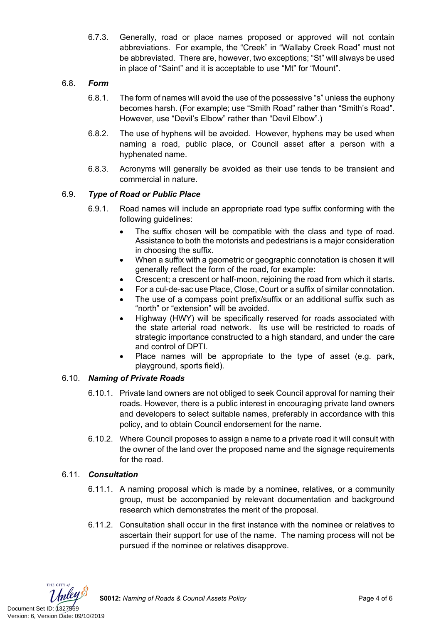6.7.3. Generally, road or place names proposed or approved will not contain abbreviations. For example, the "Creek" in "Wallaby Creek Road" must not be abbreviated. There are, however, two exceptions; "St" will always be used in place of "Saint" and it is acceptable to use "Mt" for "Mount".

# 6.8. *Form*

- 6.8.1. The form of names will avoid the use of the possessive "s" unless the euphony becomes harsh. (For example; use "Smith Road" rather than "Smith's Road". However, use "Devil's Elbow" rather than "Devil Elbow".)
- 6.8.2. The use of hyphens will be avoided. However, hyphens may be used when naming a road, public place, or Council asset after a person with a hyphenated name.
- 6.8.3. Acronyms will generally be avoided as their use tends to be transient and commercial in nature.

## 6.9. *Type of Road or Public Place*

- 6.9.1. Road names will include an appropriate road type suffix conforming with the following guidelines:
	- The suffix chosen will be compatible with the class and type of road. Assistance to both the motorists and pedestrians is a major consideration in choosing the suffix.
	- When a suffix with a geometric or geographic connotation is chosen it will generally reflect the form of the road, for example:
	- Crescent; a crescent or half-moon, rejoining the road from which it starts.
	- For a cul-de-sac use Place, Close, Court or a suffix of similar connotation.
	- The use of a compass point prefix/suffix or an additional suffix such as "north" or "extension" will be avoided.
	- Highway (HWY) will be specifically reserved for roads associated with the state arterial road network. Its use will be restricted to roads of strategic importance constructed to a high standard, and under the care and control of DPTI.
	- Place names will be appropriate to the type of asset (e.g. park, playground, sports field).

### 6.10. *Naming of Private Roads*

- 6.10.1. Private land owners are not obliged to seek Council approval for naming their roads. However, there is a public interest in encouraging private land owners and developers to select suitable names, preferably in accordance with this policy, and to obtain Council endorsement for the name.
- 6.10.2. Where Council proposes to assign a name to a private road it will consult with the owner of the land over the proposed name and the signage requirements for the road.

### 6.11. *Consultation*

- 6.11.1. A naming proposal which is made by a nominee, relatives, or a community group, must be accompanied by relevant documentation and background research which demonstrates the merit of the proposal.
- 6.11.2. Consultation shall occur in the first instance with the nominee or relatives to ascertain their support for use of the name. The naming process will not be pursued if the nominee or relatives disapprove.

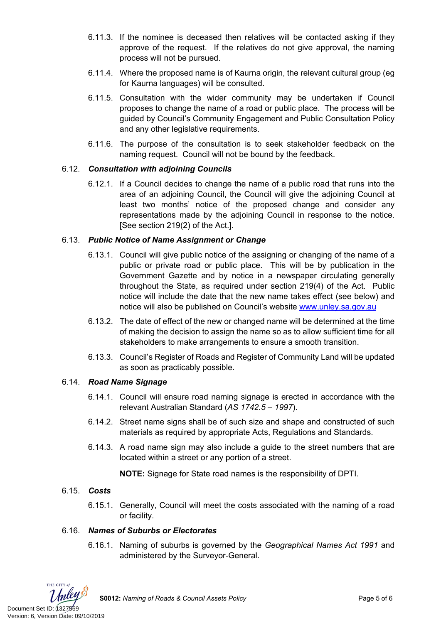- 6.11.3. If the nominee is deceased then relatives will be contacted asking if they approve of the request. If the relatives do not give approval, the naming process will not be pursued.
- 6.11.4. Where the proposed name is of Kaurna origin, the relevant cultural group (eg for Kaurna languages) will be consulted.
- 6.11.5. Consultation with the wider community may be undertaken if Council proposes to change the name of a road or public place. The process will be guided by Council's Community Engagement and Public Consultation Policy and any other legislative requirements.
- 6.11.6. The purpose of the consultation is to seek stakeholder feedback on the naming request. Council will not be bound by the feedback.

# 6.12. *Consultation with adjoining Councils*

6.12.1. If a Council decides to change the name of a public road that runs into the area of an adjoining Council, the Council will give the adjoining Council at least two months' notice of the proposed change and consider any representations made by the adjoining Council in response to the notice. [See section 219(2) of the Act.].

### 6.13. *Public Notice of Name Assignment or Change*

- 6.13.1. Council will give public notice of the assigning or changing of the name of a public or private road or public place. This will be by publication in the Government Gazette and by notice in a newspaper circulating generally throughout the State, as required under section 219(4) of the Act. Public notice will include the date that the new name takes effect (see below) and notice will also be published on Council's website [www.unley.sa.gov.au](http://www.unley.sa.gov.au/)
- 6.13.2. The date of effect of the new or changed name will be determined at the time of making the decision to assign the name so as to allow sufficient time for all stakeholders to make arrangements to ensure a smooth transition.
- 6.13.3. Council's Register of Roads and Register of Community Land will be updated as soon as practicably possible.

### 6.14. *Road Name Signage*

- 6.14.1. Council will ensure road naming signage is erected in accordance with the relevant Australian Standard (*AS 1742.5 – 1997*).
- 6.14.2. Street name signs shall be of such size and shape and constructed of such materials as required by appropriate Acts, Regulations and Standards.
- 6.14.3. A road name sign may also include a guide to the street numbers that are located within a street or any portion of a street.

**NOTE:** Signage for State road names is the responsibility of DPTI.

### 6.15. *Costs*

6.15.1. Generally, Council will meet the costs associated with the naming of a road or facility.

## 6.16. *Names of Suburbs or Electorates*

6.16.1. Naming of suburbs is governed by the *Geographical Names Act 1991* and administered by the Surveyor-General.